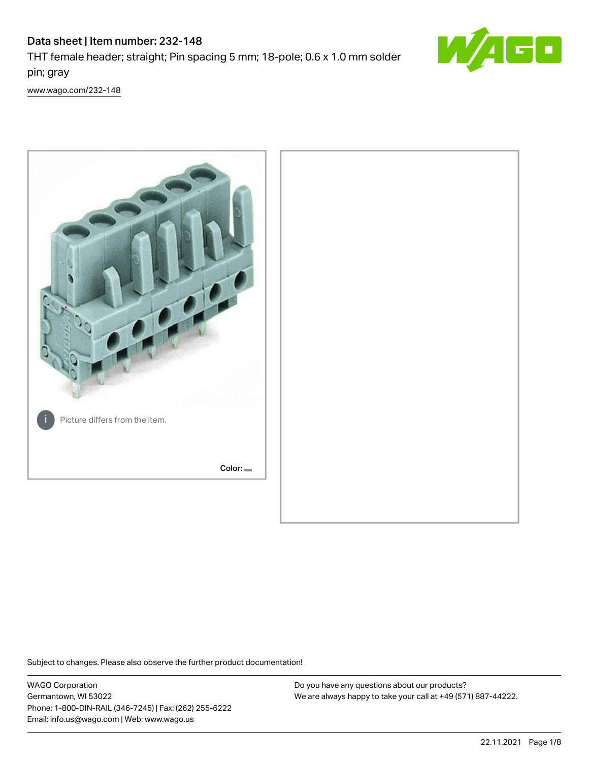# Data sheet | Item number: 232-148

THT female header; straight; Pin spacing 5 mm; 18-pole; 0.6 x 1.0 mm solder pin; gray



[www.wago.com/232-148](http://www.wago.com/232-148)



Subject to changes. Please also observe the further product documentation!

WAGO Corporation Germantown, WI 53022 Phone: 1-800-DIN-RAIL (346-7245) | Fax: (262) 255-6222 Email: info.us@wago.com | Web: www.wago.us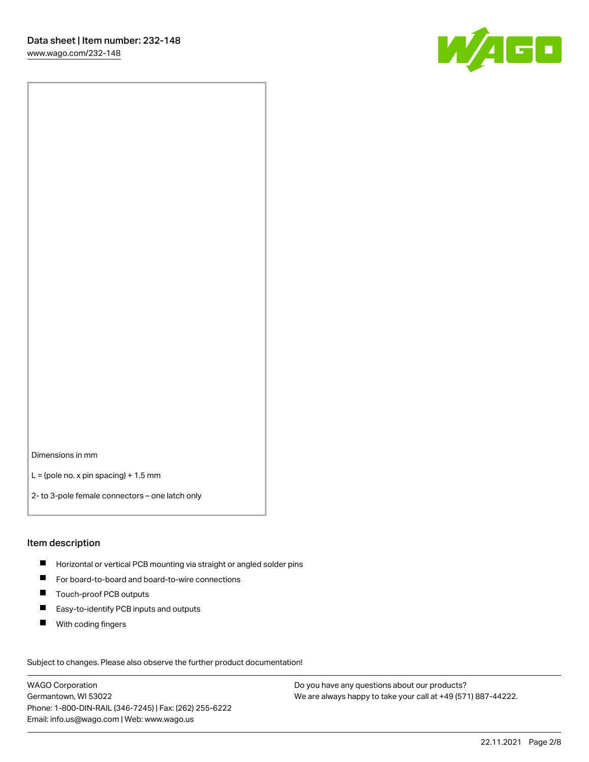W/160

Dimensions in mm

 $L =$  (pole no. x pin spacing) + 1.5 mm

2- to 3-pole female connectors – one latch only

### Item description

- **Horizontal or vertical PCB mounting via straight or angled solder pins**
- For board-to-board and board-to-wire connections
- Touch-proof PCB outputs  $\blacksquare$
- $\blacksquare$ Easy-to-identify PCB inputs and outputs
- $\blacksquare$ With coding fingers

Subject to changes. Please also observe the further product documentation! Data

WAGO Corporation Germantown, WI 53022 Phone: 1-800-DIN-RAIL (346-7245) | Fax: (262) 255-6222 Email: info.us@wago.com | Web: www.wago.us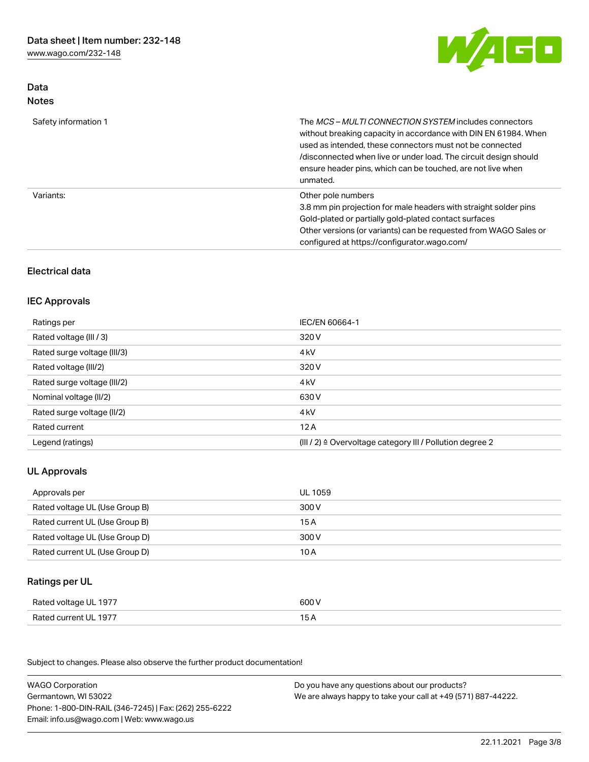[www.wago.com/232-148](http://www.wago.com/232-148)

Data



| <b>Notes</b>         |                                                                                                                                                                                                                                                                                                                                            |
|----------------------|--------------------------------------------------------------------------------------------------------------------------------------------------------------------------------------------------------------------------------------------------------------------------------------------------------------------------------------------|
| Safety information 1 | The <i>MCS - MULTI CONNECTION SYSTEM</i> includes connectors<br>without breaking capacity in accordance with DIN EN 61984. When<br>used as intended, these connectors must not be connected<br>/disconnected when live or under load. The circuit design should<br>ensure header pins, which can be touched, are not live when<br>unmated. |
| Variants:            | Other pole numbers<br>3.8 mm pin projection for male headers with straight solder pins<br>Gold-plated or partially gold-plated contact surfaces<br>Other versions (or variants) can be requested from WAGO Sales or<br>configured at https://configurator.wago.com/                                                                        |

# Electrical data

### IEC Approvals

| IEC/EN 60664-1                                                        |
|-----------------------------------------------------------------------|
| 320 V                                                                 |
| 4 <sub>k</sub> V                                                      |
| 320 V                                                                 |
| 4 <sub>k</sub> V                                                      |
| 630 V                                                                 |
| 4 <sub>k</sub> V                                                      |
| 12A                                                                   |
| $(III / 2)$ $\triangle$ Overvoltage category III / Pollution degree 2 |
|                                                                       |

# UL Approvals

| Approvals per                  | UL 1059 |
|--------------------------------|---------|
| Rated voltage UL (Use Group B) | 300 V   |
| Rated current UL (Use Group B) | 15 A    |
| Rated voltage UL (Use Group D) | 300 V   |
| Rated current UL (Use Group D) | 10 A    |

# Ratings per UL

| Rated voltage UL 1977 | 600 V |
|-----------------------|-------|
| Rated current UL 1977 | 15 A  |

Subject to changes. Please also observe the further product documentation!

| <b>WAGO Corporation</b>                                | Do you have any questions about our products?                 |
|--------------------------------------------------------|---------------------------------------------------------------|
| Germantown, WI 53022                                   | We are always happy to take your call at +49 (571) 887-44222. |
| Phone: 1-800-DIN-RAIL (346-7245)   Fax: (262) 255-6222 |                                                               |
| Email: info.us@wago.com   Web: www.wago.us             |                                                               |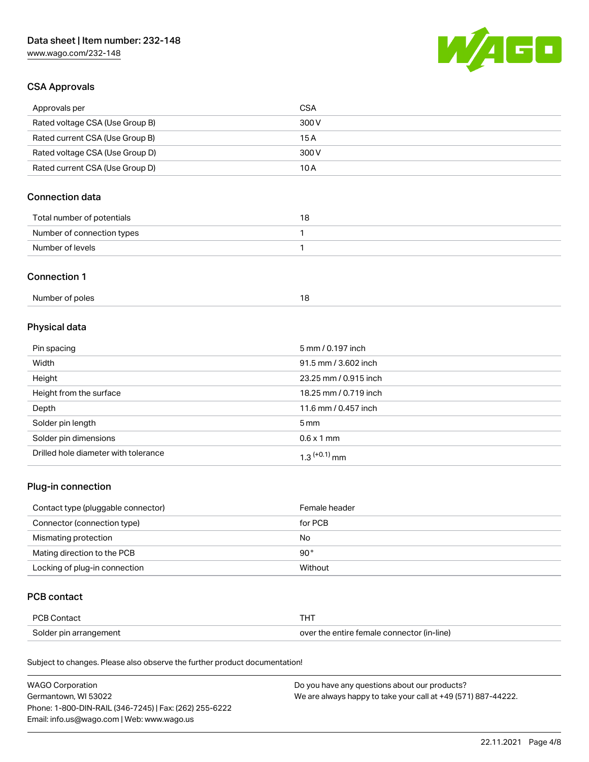[www.wago.com/232-148](http://www.wago.com/232-148)



# CSA Approvals

| Approvals per                   | CSA   |
|---------------------------------|-------|
| Rated voltage CSA (Use Group B) | 300 V |
| Rated current CSA (Use Group B) | 15 A  |
| Rated voltage CSA (Use Group D) | 300 V |
| Rated current CSA (Use Group D) | 10 A  |

# Connection data

| Total number of potentials | או |
|----------------------------|----|
| Number of connection types |    |
| Number of levels           |    |

### Connection 1

| Number of poles |  |
|-----------------|--|
|                 |  |

# Physical data

| Pin spacing                          | 5 mm / 0.197 inch     |
|--------------------------------------|-----------------------|
| Width                                | 91.5 mm / 3.602 inch  |
| Height                               | 23.25 mm / 0.915 inch |
| Height from the surface              | 18.25 mm / 0.719 inch |
| Depth                                | 11.6 mm / 0.457 inch  |
| Solder pin length                    | $5 \text{ mm}$        |
| Solder pin dimensions                | $0.6 \times 1$ mm     |
| Drilled hole diameter with tolerance | $1.3$ $(+0.1)$ mm     |

# Plug-in connection

| Contact type (pluggable connector) | Female header |
|------------------------------------|---------------|
| Connector (connection type)        | for PCB       |
| Mismating protection               | No            |
| Mating direction to the PCB        | $90^{\circ}$  |
| Locking of plug-in connection      | Without       |

### PCB contact

| PCB Contact            |                                            |
|------------------------|--------------------------------------------|
| Solder pin arrangement | over the entire female connector (in-line) |

Subject to changes. Please also observe the further product documentation!

| <b>WAGO Corporation</b>                                | Do you have any questions about our products?                 |
|--------------------------------------------------------|---------------------------------------------------------------|
| Germantown, WI 53022                                   | We are always happy to take your call at +49 (571) 887-44222. |
| Phone: 1-800-DIN-RAIL (346-7245)   Fax: (262) 255-6222 |                                                               |
| Email: info.us@wago.com   Web: www.wago.us             |                                                               |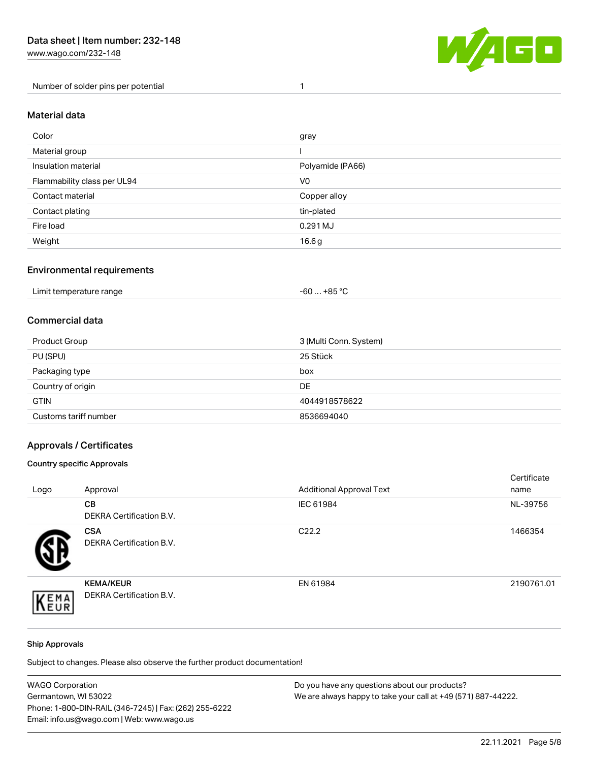Number of solder pins per potential 1



### Material data

| Color                       | gray             |
|-----------------------------|------------------|
| Material group              |                  |
| Insulation material         | Polyamide (PA66) |
| Flammability class per UL94 | V <sub>0</sub>   |
| Contact material            | Copper alloy     |
| Contact plating             | tin-plated       |
| Fire load                   | 0.291 MJ         |
| Weight                      | 16.6g            |

### Environmental requirements

| Limit temperature range<br>. | +85 °C<br>-60 |  |
|------------------------------|---------------|--|
|------------------------------|---------------|--|

# Commercial data

| Product Group         | 3 (Multi Conn. System) |
|-----------------------|------------------------|
| PU (SPU)              | 25 Stück               |
| Packaging type        | box                    |
| Country of origin     | DE                     |
| <b>GTIN</b>           | 4044918578622          |
| Customs tariff number | 8536694040             |

## Approvals / Certificates

### Country specific Approvals

| Logo | Approval                                            | <b>Additional Approval Text</b> | Certificate<br>name |
|------|-----------------------------------------------------|---------------------------------|---------------------|
|      | CВ<br><b>DEKRA Certification B.V.</b>               | IEC 61984                       | NL-39756            |
|      | <b>CSA</b><br>DEKRA Certification B.V.              | C <sub>22.2</sub>               | 1466354             |
| EMA  | <b>KEMA/KEUR</b><br><b>DEKRA Certification B.V.</b> | EN 61984                        | 2190761.01          |

### Ship Approvals

Subject to changes. Please also observe the further product documentation!

| <b>WAGO Corporation</b>                                | Do you have any questions about our products?                 |
|--------------------------------------------------------|---------------------------------------------------------------|
| Germantown, WI 53022                                   | We are always happy to take your call at +49 (571) 887-44222. |
| Phone: 1-800-DIN-RAIL (346-7245)   Fax: (262) 255-6222 |                                                               |
| Email: info.us@wago.com   Web: www.wago.us             |                                                               |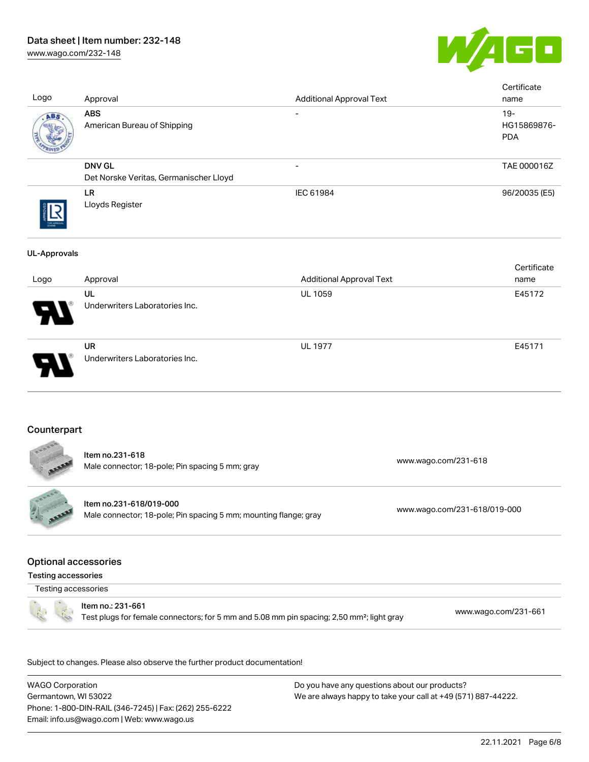# Data sheet | Item number: 232-148

[www.wago.com/232-148](http://www.wago.com/232-148)



| Logo                                                      | Approval                                                                                                                    | <b>Additional Approval Text</b> |                      | Certificate<br>name                 |
|-----------------------------------------------------------|-----------------------------------------------------------------------------------------------------------------------------|---------------------------------|----------------------|-------------------------------------|
| <b>ABS</b>                                                | <b>ABS</b><br>American Bureau of Shipping                                                                                   |                                 |                      | $19 -$<br>HG15869876-<br><b>PDA</b> |
|                                                           | <b>DNV GL</b><br>Det Norske Veritas, Germanischer Lloyd                                                                     |                                 |                      | TAE 000016Z                         |
|                                                           | LR.<br>Lloyds Register                                                                                                      | IEC 61984                       |                      | 96/20035 (E5)                       |
| <b>UL-Approvals</b>                                       |                                                                                                                             |                                 |                      | Certificate                         |
| Logo                                                      | Approval                                                                                                                    | <b>Additional Approval Text</b> |                      | name                                |
|                                                           | UL<br>Underwriters Laboratories Inc.                                                                                        | UL 1059                         |                      | E45172                              |
|                                                           | <b>UR</b><br>Underwriters Laboratories Inc.                                                                                 | <b>UL 1977</b>                  |                      | E45171                              |
| Counterpart                                               | Item no.231-618                                                                                                             |                                 | www.wago.com/231-618 |                                     |
|                                                           | Male connector; 18-pole; Pin spacing 5 mm; gray                                                                             |                                 |                      |                                     |
| <b>Allan</b>                                              | Item no.231-618/019-000<br>www.wago.com/231-618/019-000<br>Male connector; 18-pole; Pin spacing 5 mm; mounting flange; gray |                                 |                      |                                     |
| <b>Optional accessories</b><br><b>Testing accessories</b> |                                                                                                                             |                                 |                      |                                     |
| Testing accessories                                       |                                                                                                                             |                                 |                      |                                     |
|                                                           | Item no.: 231-661<br>Test plugs for female connectors; for 5 mm and 5.08 mm pin spacing; 2,50 mm <sup>2</sup> ; light gray  |                                 |                      | www.wago.com/231-661                |
|                                                           | Subject to changes. Please also observe the further product documentation!                                                  |                                 |                      |                                     |

WAGO Corporation Germantown, WI 53022 Phone: 1-800-DIN-RAIL (346-7245) | Fax: (262) 255-6222 Email: info.us@wago.com | Web: www.wago.us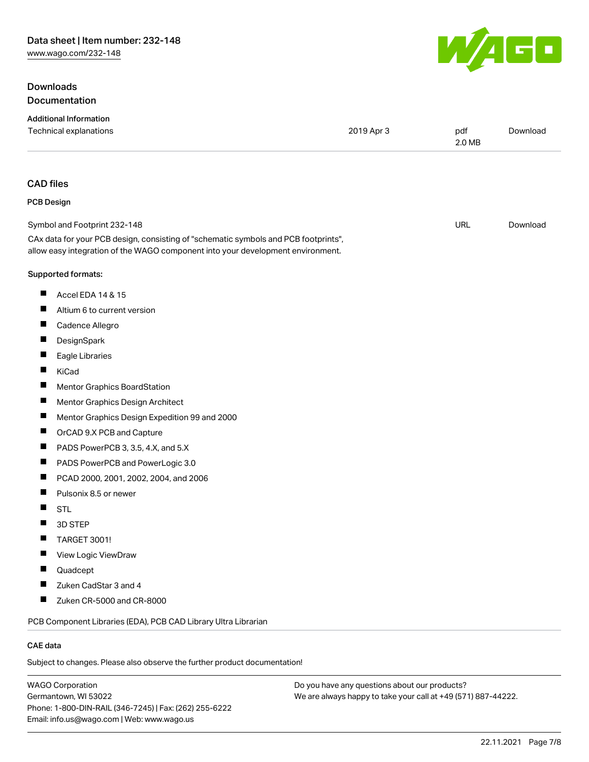# **Downloads** Documentation



| <b>Additional Information</b>                                                                                                                                          |            |               |          |
|------------------------------------------------------------------------------------------------------------------------------------------------------------------------|------------|---------------|----------|
| Technical explanations                                                                                                                                                 | 2019 Apr 3 | pdf<br>2.0 MB | Download |
| <b>CAD files</b>                                                                                                                                                       |            |               |          |
| <b>PCB Design</b>                                                                                                                                                      |            |               |          |
| Symbol and Footprint 232-148                                                                                                                                           |            | <b>URL</b>    | Download |
| CAx data for your PCB design, consisting of "schematic symbols and PCB footprints",<br>allow easy integration of the WAGO component into your development environment. |            |               |          |
| Supported formats:                                                                                                                                                     |            |               |          |
| ш<br>Accel EDA 14 & 15                                                                                                                                                 |            |               |          |
| ш<br>Altium 6 to current version                                                                                                                                       |            |               |          |
| ш<br>Cadence Allegro                                                                                                                                                   |            |               |          |
| ш<br>DesignSpark                                                                                                                                                       |            |               |          |
| ш<br>Eagle Libraries                                                                                                                                                   |            |               |          |
| ш<br>KiCad                                                                                                                                                             |            |               |          |
| п<br><b>Mentor Graphics BoardStation</b>                                                                                                                               |            |               |          |
| ш<br>Mentor Graphics Design Architect                                                                                                                                  |            |               |          |
| ш<br>Mentor Graphics Design Expedition 99 and 2000                                                                                                                     |            |               |          |
| п<br>OrCAD 9.X PCB and Capture                                                                                                                                         |            |               |          |
| ш<br>PADS PowerPCB 3, 3.5, 4.X, and 5.X                                                                                                                                |            |               |          |
| ш<br>PADS PowerPCB and PowerLogic 3.0                                                                                                                                  |            |               |          |
| ш<br>PCAD 2000, 2001, 2002, 2004, and 2006                                                                                                                             |            |               |          |
| ш<br>Pulsonix 8.5 or newer                                                                                                                                             |            |               |          |
| <b>STL</b>                                                                                                                                                             |            |               |          |
| 3D STEP                                                                                                                                                                |            |               |          |
| <b>TARGET 3001!</b>                                                                                                                                                    |            |               |          |
| ш<br>View Logic ViewDraw                                                                                                                                               |            |               |          |
| Quadcept<br><b>I</b>                                                                                                                                                   |            |               |          |
| Zuken CadStar 3 and 4                                                                                                                                                  |            |               |          |
| $\blacksquare$<br>Zuken CR-5000 and CR-8000                                                                                                                            |            |               |          |
| PCB Component Libraries (EDA), PCB CAD Library Ultra Librarian                                                                                                         |            |               |          |
| CAE data                                                                                                                                                               |            |               |          |
| Subject to changes. Please also observe the further product documentation!                                                                                             |            |               |          |

WAGO Corporation Germantown, WI 53022 Phone: 1-800-DIN-RAIL (346-7245) | Fax: (262) 255-6222 Email: info.us@wago.com | Web: www.wago.us